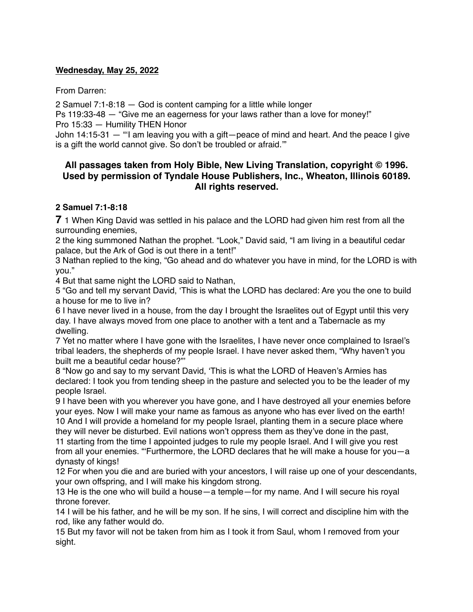### **Wednesday, May 25, 2022**

From Darren:

2 Samuel 7:1-8:18 — God is content camping for a little while longer

Ps 119:33-48 — "Give me an eagerness for your laws rather than a love for money!" Pro 15:33 — Humility THEN Honor

John 14:15-31 — "'I am leaving you with a gift—peace of mind and heart. And the peace I give is a gift the world cannot give. So don't be troubled or afraid.'"

## **All passages taken from Holy Bible, [New Living Translation](http://www.newlivingtranslation.com/), copyright © 1996. Used by permission of [Tyndale House Publishers](http://tyndale.com/), Inc., Wheaton, Illinois 60189. All rights reserved.**

### **2 Samuel 7:1-8:18**

**7** 1 When King David was settled in his palace and the LORD had given him rest from all the surrounding enemies,

2 the king summoned Nathan the prophet. "Look," David said, "I am living in a beautiful cedar palace, but the Ark of God is out there in a tent!"

3 Nathan replied to the king, "Go ahead and do whatever you have in mind, for the LORD is with you."

4 But that same night the LORD said to Nathan,

5 "Go and tell my servant David, 'This is what the LORD has declared: Are you the one to build a house for me to live in?

6 I have never lived in a house, from the day I brought the Israelites out of Egypt until this very day. I have always moved from one place to another with a tent and a Tabernacle as my dwelling.

7 Yet no matter where I have gone with the Israelites, I have never once complained to Israel's tribal leaders, the shepherds of my people Israel. I have never asked them, "Why haven't you built me a beautiful cedar house?"'

8 "Now go and say to my servant David, 'This is what the LORD of Heaven's Armies has declared: I took you from tending sheep in the pasture and selected you to be the leader of my people Israel.

9 I have been with you wherever you have gone, and I have destroyed all your enemies before your eyes. Now I will make your name as famous as anyone who has ever lived on the earth! 10 And I will provide a homeland for my people Israel, planting them in a secure place where they will never be disturbed. Evil nations won't oppress them as they've done in the past,

11 starting from the time I appointed judges to rule my people Israel. And I will give you rest from all your enemies. "'Furthermore, the LORD declares that he will make a house for you—a dynasty of kings!

12 For when you die and are buried with your ancestors, I will raise up one of your descendants, your own offspring, and I will make his kingdom strong.

13 He is the one who will build a house—a temple—for my name. And I will secure his royal throne forever.

14 I will be his father, and he will be my son. If he sins, I will correct and discipline him with the rod, like any father would do.

15 But my favor will not be taken from him as I took it from Saul, whom I removed from your sight.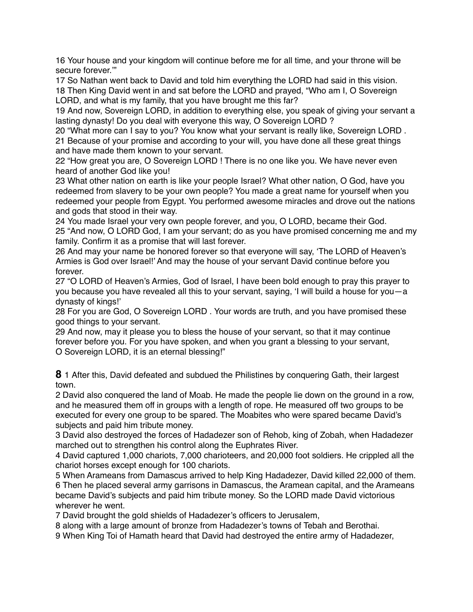16 Your house and your kingdom will continue before me for all time, and your throne will be secure forever.'"

17 So Nathan went back to David and told him everything the LORD had said in this vision. 18 Then King David went in and sat before the LORD and prayed, "Who am I, O Sovereign LORD, and what is my family, that you have brought me this far?

19 And now, Sovereign LORD, in addition to everything else, you speak of giving your servant a lasting dynasty! Do you deal with everyone this way, O Sovereign LORD ?

20 "What more can I say to you? You know what your servant is really like, Sovereign LORD . 21 Because of your promise and according to your will, you have done all these great things and have made them known to your servant.

22 "How great you are, O Sovereign LORD ! There is no one like you. We have never even heard of another God like you!

23 What other nation on earth is like your people Israel? What other nation, O God, have you redeemed from slavery to be your own people? You made a great name for yourself when you redeemed your people from Egypt. You performed awesome miracles and drove out the nations and gods that stood in their way.

24 You made Israel your very own people forever, and you, O LORD, became their God. 25 "And now, O LORD God, I am your servant; do as you have promised concerning me and my family. Confirm it as a promise that will last forever.

26 And may your name be honored forever so that everyone will say, 'The LORD of Heaven's Armies is God over Israel!' And may the house of your servant David continue before you forever.

27 "O LORD of Heaven's Armies, God of Israel, I have been bold enough to pray this prayer to you because you have revealed all this to your servant, saying, 'I will build a house for you—a dynasty of kings!'

28 For you are God, O Sovereign LORD . Your words are truth, and you have promised these good things to your servant.

29 And now, may it please you to bless the house of your servant, so that it may continue forever before you. For you have spoken, and when you grant a blessing to your servant, O Sovereign LORD, it is an eternal blessing!"

**8** 1 After this, David defeated and subdued the Philistines by conquering Gath, their largest town.

2 David also conquered the land of Moab. He made the people lie down on the ground in a row, and he measured them off in groups with a length of rope. He measured off two groups to be executed for every one group to be spared. The Moabites who were spared became David's subjects and paid him tribute money.

3 David also destroyed the forces of Hadadezer son of Rehob, king of Zobah, when Hadadezer marched out to strengthen his control along the Euphrates River.

4 David captured 1,000 chariots, 7,000 charioteers, and 20,000 foot soldiers. He crippled all the chariot horses except enough for 100 chariots.

5 When Arameans from Damascus arrived to help King Hadadezer, David killed 22,000 of them. 6 Then he placed several army garrisons in Damascus, the Aramean capital, and the Arameans became David's subjects and paid him tribute money. So the LORD made David victorious wherever he went.

7 David brought the gold shields of Hadadezer's officers to Jerusalem,

8 along with a large amount of bronze from Hadadezer's towns of Tebah and Berothai.

9 When King Toi of Hamath heard that David had destroyed the entire army of Hadadezer,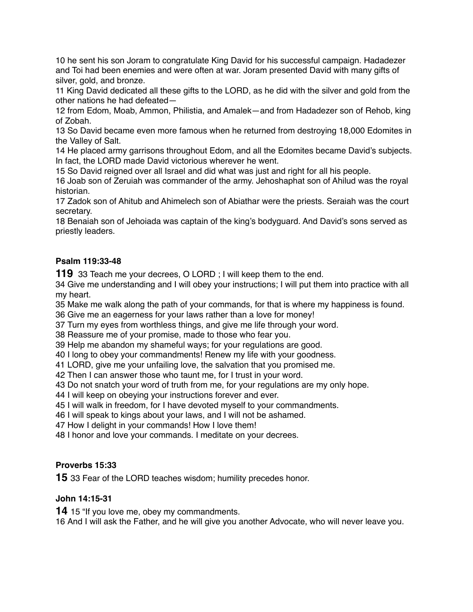he sent his son Joram to congratulate King David for his successful campaign. Hadadezer and Toi had been enemies and were often at war. Joram presented David with many gifts of silver, gold, and bronze.

 King David dedicated all these gifts to the LORD, as he did with the silver and gold from the other nations he had defeated—

 from Edom, Moab, Ammon, Philistia, and Amalek—and from Hadadezer son of Rehob, king of Zobah.

 So David became even more famous when he returned from destroying 18,000 Edomites in the Valley of Salt.

 He placed army garrisons throughout Edom, and all the Edomites became David's subjects. In fact, the LORD made David victorious wherever he went.

So David reigned over all Israel and did what was just and right for all his people.

 Joab son of Zeruiah was commander of the army. Jehoshaphat son of Ahilud was the royal historian.

 Zadok son of Ahitub and Ahimelech son of Abiathar were the priests. Seraiah was the court secretary.

 Benaiah son of Jehoiada was captain of the king's bodyguard. And David's sons served as priestly leaders.

# **Psalm 119:33-48**

33 Teach me your decrees, O LORD ; I will keep them to the end.

 Give me understanding and I will obey your instructions; I will put them into practice with all my heart.

 Make me walk along the path of your commands, for that is where my happiness is found. Give me an eagerness for your laws rather than a love for money!

Turn my eyes from worthless things, and give me life through your word.

Reassure me of your promise, made to those who fear you.

Help me abandon my shameful ways; for your regulations are good.

I long to obey your commandments! Renew my life with your goodness.

LORD, give me your unfailing love, the salvation that you promised me.

Then I can answer those who taunt me, for I trust in your word.

Do not snatch your word of truth from me, for your regulations are my only hope.

I will keep on obeying your instructions forever and ever.

I will walk in freedom, for I have devoted myself to your commandments.

I will speak to kings about your laws, and I will not be ashamed.

How I delight in your commands! How I love them!

I honor and love your commands. I meditate on your decrees.

## **Proverbs 15:33**

33 Fear of the LORD teaches wisdom; humility precedes honor.

## **John 14:15-31**

15 "If you love me, obey my commandments.

And I will ask the Father, and he will give you another Advocate, who will never leave you.